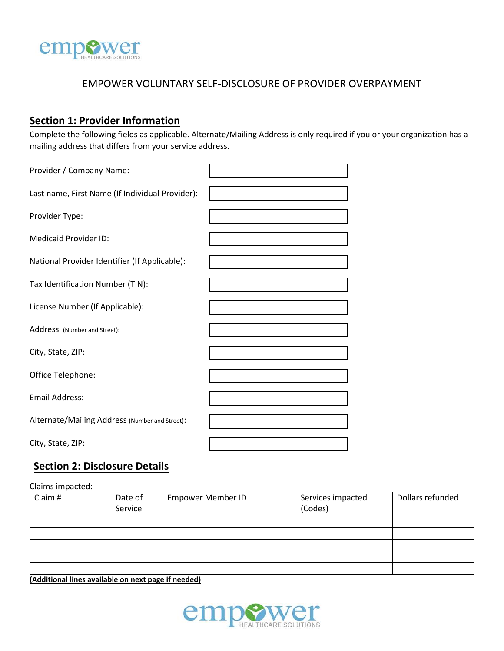

## EMPOWER VOLUNTARY SELF-DISCLOSURE OF PROVIDER OVERPAYMENT

## **Section 1: Provider Information**

Complete the following fields as applicable. Alternate/Mailing Address is only required if you or your organization has a mailing address that differs from your service address.

| Provider / Company Name:                        |  |
|-------------------------------------------------|--|
| Last name, First Name (If Individual Provider): |  |
| Provider Type:                                  |  |
| <b>Medicaid Provider ID:</b>                    |  |
| National Provider Identifier (If Applicable):   |  |
| Tax Identification Number (TIN):                |  |
| License Number (If Applicable):                 |  |
| Address (Number and Street):                    |  |
| City, State, ZIP:                               |  |
| Office Telephone:                               |  |
| <b>Email Address:</b>                           |  |
| Alternate/Mailing Address (Number and Street):  |  |
| City, State, ZIP:                               |  |

## **Section 2: Disclosure Details**

Claims impacted:

| Claim # | Date of<br>Service | <b>Empower Member ID</b> | Services impacted<br>(Codes) | Dollars refunded |
|---------|--------------------|--------------------------|------------------------------|------------------|
|         |                    |                          |                              |                  |
|         |                    |                          |                              |                  |
|         |                    |                          |                              |                  |
|         |                    |                          |                              |                  |
|         |                    |                          |                              |                  |

**(Additional lines available on next page if needed)**

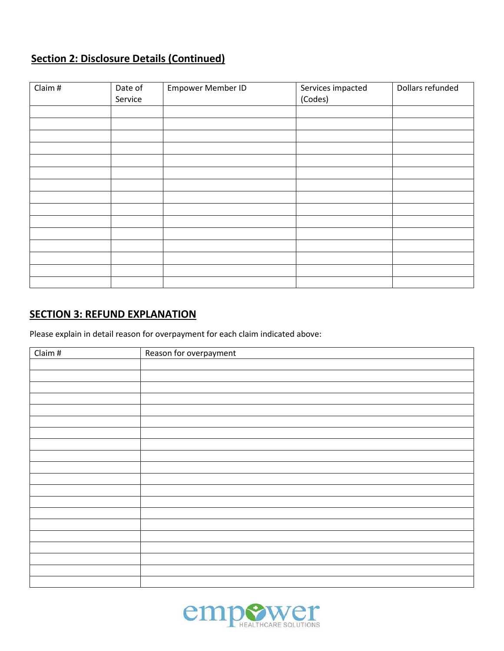# **Section 2: Disclosure Details (Continued)**

| Claim # | Date of<br>Service | Empower Member ID | Services impacted<br>(Codes) | Dollars refunded |
|---------|--------------------|-------------------|------------------------------|------------------|
|         |                    |                   |                              |                  |
|         |                    |                   |                              |                  |
|         |                    |                   |                              |                  |
|         |                    |                   |                              |                  |
|         |                    |                   |                              |                  |
|         |                    |                   |                              |                  |
|         |                    |                   |                              |                  |
|         |                    |                   |                              |                  |
|         |                    |                   |                              |                  |
|         |                    |                   |                              |                  |
|         |                    |                   |                              |                  |
|         |                    |                   |                              |                  |
|         |                    |                   |                              |                  |
|         |                    |                   |                              |                  |
|         |                    |                   |                              |                  |

## **SECTION 3: REFUND EXPLANATION**

Please explain in detail reason for overpayment for each claim indicated above:

| Claim # | Reason for overpayment |
|---------|------------------------|
|         |                        |
|         |                        |
|         |                        |
|         |                        |
|         |                        |
|         |                        |
|         |                        |
|         |                        |
|         |                        |
|         |                        |
|         |                        |
|         |                        |
|         |                        |
|         |                        |
|         |                        |
|         |                        |
|         |                        |
|         |                        |
|         |                        |
|         |                        |